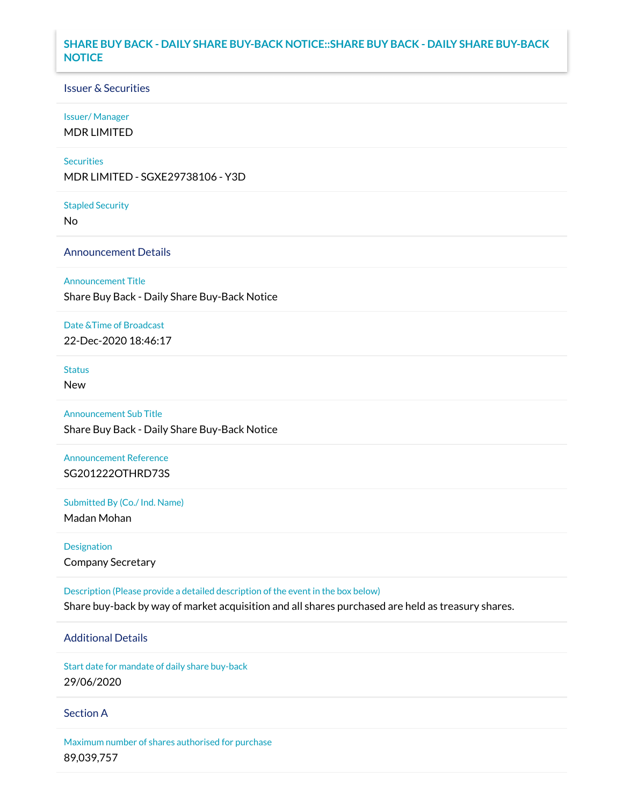## **SHARE BUY BACK - DAILY SHARE BUY-BACK NOTICE::SHARE BUY BACK - DAILY SHARE BUY-BACK NOTICE**

### Issuer & Securities

### Issuer/ Manager

MDR LIMITED

### **Securities**

MDR LIMITED - SGXE29738106 - Y3D

#### Stapled Security

No

### Announcement Details

Announcement Title

Share Buy Back - Daily Share Buy-Back Notice

### Date &Time of Broadcast

22-Dec-2020 18:46:17

## Status

New

# Announcement Sub Title

Share Buy Back - Daily Share Buy-Back Notice

## Announcement Reference SG201222OTHRD73S

Submitted By (Co./ Ind. Name)

Madan Mohan

Designation Company Secretary

Description (Please provide a detailed description of the event in the box below) Share buy-back by way of market acquisition and all shares purchased are held as treasury shares.

## Additional Details

Start date for mandate of daily share buy-back 29/06/2020

### Section A

Maximum number of shares authorised for purchase 89,039,757